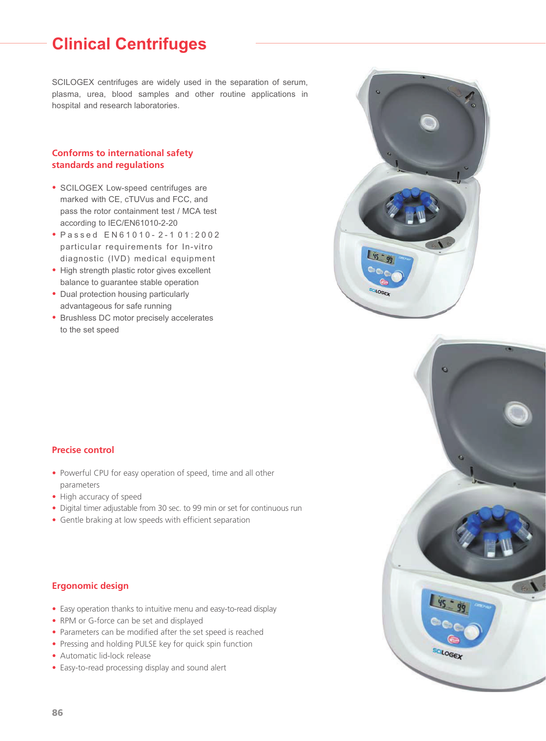# **Clinical Centrifuges**

SCILOGEX centrifuges are widely used in the separation of serum, plasma, urea, blood samples and other routine applications in hospital and research laboratories.

#### **Conforms to international safety standards and regulations**

- SCILOGEX Low-speed centrifuges are marked with CE, cTUVus and FCC, and pass the rotor containment test / MCA test according to IEC/EN61010-2-20
- Passed  $EN61010 2 101:2002$ particular requirements for In-vitro diagnostic (IVD) medical equipment
- High strength plastic rotor gives excellent balance to guarantee stable operation
- Dual protection housing particularly advantageous for safe running
- Brushless DC motor precisely accelerates to the set speed





#### **Precise control**

- Powerful CPU for easy operation of speed, time and all other parameters
- High accuracy of speed
- Digital timer adjustable from 30 sec. to 99 min or set for continuous run
- Gentle braking at low speeds with efficient separation

#### **Ergonomic design**

- Easy operation thanks to intuitive menu and easy-to-read display
- RPM or G-force can be set and displayed
- Parameters can be modified after the set speed is reached
- Pressing and holding PULSE key for quick spin function
- Automatic lid-lock release
- Easy-to-read processing display and sound alert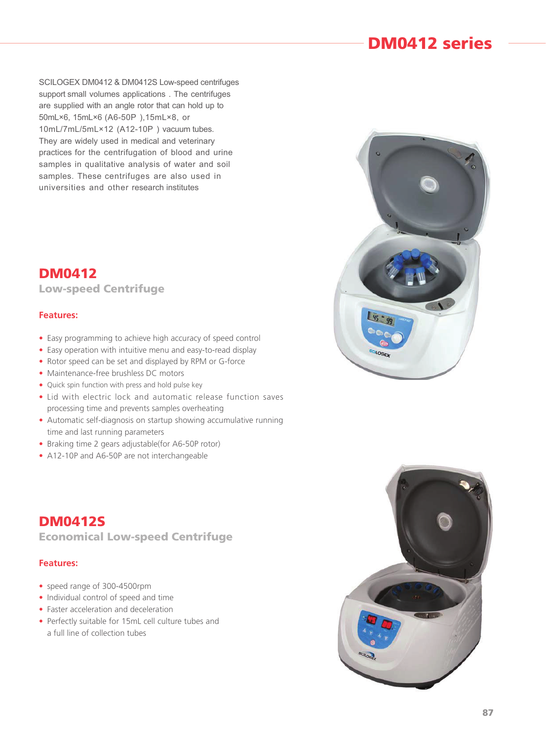## **DM0412 series**

SCILOGEX DM0412 & DM0412S Low-speed centrifuges support small volumes applications. The centrifuges are supplied with an angle rotor that can hold up to 50mL×6, 15mL×6 (A6-50P), 15mL×8, or 10mL/7mL/5mL×12 (A12-10P) vacuum tubes. They are widely used in medical and veterinary practices for the centrifugation of blood and urine samples in qualitative analysis of water and soil samples. These centrifuges are also used in universities and other research institutes

### **DM0412 Low-speed Centrifuge**

#### **Features:**

- Easy programming to achieve high accuracy of speed control
- Easy operation with intuitive menu and easy-to-read display
- Rotor speed can be set and displayed by RPM or G-force
- Maintenance-free brushless DC motors
- Quick spin function with press and hold pulse key
- Lid with electric lock and automatic release function saves processing time and prevents samples overheating
- Automatic self-diagnosis on startup showing accumulative running time and last running parameters
- Braking time 2 gears adjustable(for A6-50P rotor)
- A12-10P and A6-50P are not interchangeable

**DM0412S Economical Low-speed Centrifuge**

#### **Features:**

- speed range of 300-4500rpm
- Individual control of speed and time
- Faster acceleration and deceleration
- Perfectly suitable for 15mL cell culture tubes and a full line of collection tubes

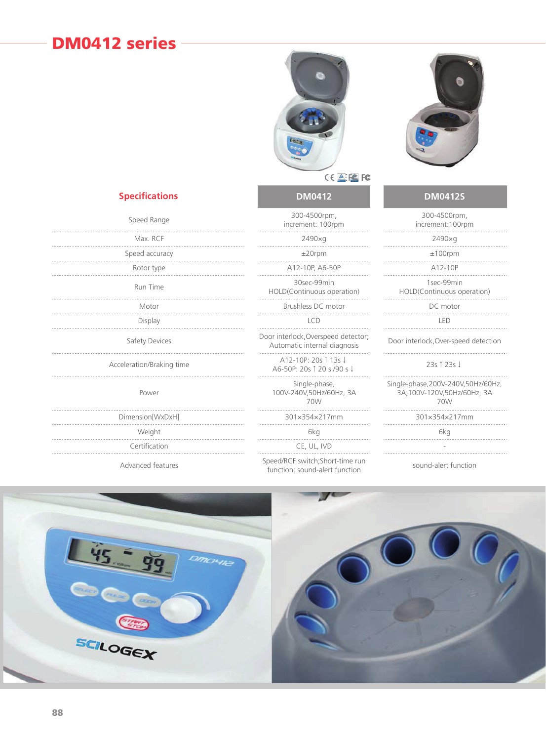## **DM0412 series**





### CELECTC

#### **DM0412 DM0412S**

| Speed Range          | 300-4500rpm,<br>increment: 100rpm                                   | 300-4500rpn<br>increment: 100                        |
|----------------------|---------------------------------------------------------------------|------------------------------------------------------|
| Max. RCF             | 2490×g                                                              | 2490×g                                               |
| Speed accuracy       | $±20$ rpm                                                           | $±100$ rpm                                           |
| Rotor type           | A12-10P, A6-50P                                                     | A12-10P                                              |
| Run Time             | 30sec-99min<br>HOLD(Continuous operation)                           | 1sec-99min<br>HOLD(Continuous o                      |
| Motor                | Brushless DC motor                                                  | DC motor                                             |
| Display              | <b>LCD</b>                                                          | LED                                                  |
| Safety Devices       | Door interlock, Overspeed detector;<br>Automatic internal diagnosis | Door interlock, Over-spe                             |
| eration/Braking time | A12-10P: 20s 1 13s J<br>A6-50P: 20s ↑ 20 s /90 s ↓                  | $23s$   $23s$ $\downarrow$                           |
| Power                | Single-phase,<br>100V-240V,50Hz/60Hz, 3A<br>70W                     | Single-phase, 200V-240\<br>3A;100V-120V,50Hz/<br>70W |
| mension[WxDxH]       | 301×354×217mm                                                       | 301×354×217                                          |
| Weight               | 6kg                                                                 | 6kg                                                  |
| Certification        | CE UL IVD                                                           |                                                      |

Advanced features Speed/RCF switch;Short-time run function; sound-alert function

| 300-4500rpm,<br>increment: 100rpm                                 | 300-4500rpm,<br>increment: 100rpm                                        |
|-------------------------------------------------------------------|--------------------------------------------------------------------------|
| $2490 \times q$                                                   | $2490 \times q$                                                          |
| $±20$ rpm                                                         | $±100$ rpm                                                               |
| A12-10P, A6-50P                                                   | A12-10P                                                                  |
| 30sec-99min<br>HOLD(Continuous operation)                         | 1sec-99min<br>HOLD(Continuous operation)                                 |
| Brushless DC motor                                                | DC motor                                                                 |
| <b>LCD</b>                                                        | LED                                                                      |
| or interlock, Overspeed detector;<br>Automatic internal diagnosis | Door interlock, Over-speed detection                                     |
| A12-10P: 20s 1 13s J<br>A6-50P: 20s 1 20 s /90 s ↓                | 23s 1 23s J                                                              |
| Single-phase,<br>100V-240V,50Hz/60Hz, 3A<br>70W                   | Single-phase, 200V-240V, 50Hz/60Hz,<br>3A;100V-120V,50Hz/60Hz, 3A<br>70W |
| 301×354×217mm                                                     | 301×354×217mm                                                            |
| 6kg                                                               | 6kg                                                                      |
| CE, UL, IVD                                                       |                                                                          |
| eed/RCF switch;Short-time run<br>unction: sound-alert function    | sound-alert function                                                     |

# Speed Range

**Specifications**

|  |  |  |  |  |  |  |  |  |  |  | Max. RCF       |  |  |  |  |  |  |  |  |  |  |  |  |  |  |  |  |  |
|--|--|--|--|--|--|--|--|--|--|--|----------------|--|--|--|--|--|--|--|--|--|--|--|--|--|--|--|--|--|
|  |  |  |  |  |  |  |  |  |  |  | Speed accuracy |  |  |  |  |  |  |  |  |  |  |  |  |  |  |  |  |  |
|  |  |  |  |  |  |  |  |  |  |  | Rotor type     |  |  |  |  |  |  |  |  |  |  |  |  |  |  |  |  |  |

Acceleration/Braking time

#### Power

|                  | 70W           | 70W           |
|------------------|---------------|---------------|
| Dimension[WxDxH] | 301x354x217mm | 301×354×217mm |
| Weight           | 6kg           | 6kg           |
| Certification    | CE, UL, IVD   |               |
|                  |               |               |